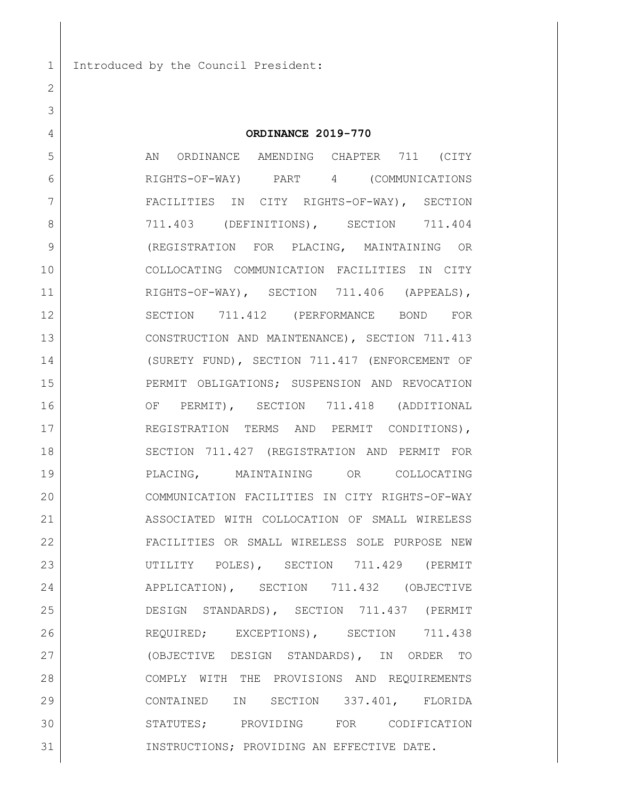Introduced by the Council President:

### **ORDINANCE 2019-770**

5 AN ORDINANCE AMENDING CHAPTER 711 (CITY RIGHTS-OF-WAY) PART 4 (COMMUNICATIONS FACILITIES IN CITY RIGHTS-OF-WAY), SECTION 8 711.403 (DEFINITIONS), SECTION 711.404 (REGISTRATION FOR PLACING, MAINTAINING OR COLLOCATING COMMUNICATION FACILITIES IN CITY 11 RIGHTS-OF-WAY), SECTION 711.406 (APPEALS), SECTION 711.412 (PERFORMANCE BOND FOR CONSTRUCTION AND MAINTENANCE), SECTION 711.413 (SURETY FUND), SECTION 711.417 (ENFORCEMENT OF PERMIT OBLIGATIONS; SUSPENSION AND REVOCATION OF PERMIT), SECTION 711.418 (ADDITIONAL 17 REGISTRATION TERMS AND PERMIT CONDITIONS), 18 SECTION 711.427 (REGISTRATION AND PERMIT FOR PLACING, MAINTAINING OR COLLOCATING COMMUNICATION FACILITIES IN CITY RIGHTS-OF-WAY ASSOCIATED WITH COLLOCATION OF SMALL WIRELESS FACILITIES OR SMALL WIRELESS SOLE PURPOSE NEW UTILITY POLES), SECTION 711.429 (PERMIT APPLICATION), SECTION 711.432 (OBJECTIVE DESIGN STANDARDS), SECTION 711.437 (PERMIT 26 REQUIRED; EXCEPTIONS), SECTION 711.438 (OBJECTIVE DESIGN STANDARDS), IN ORDER TO COMPLY WITH THE PROVISIONS AND REQUIREMENTS CONTAINED IN SECTION 337.401, FLORIDA STATUTES; PROVIDING FOR CODIFICATION INSTRUCTIONS; PROVIDING AN EFFECTIVE DATE.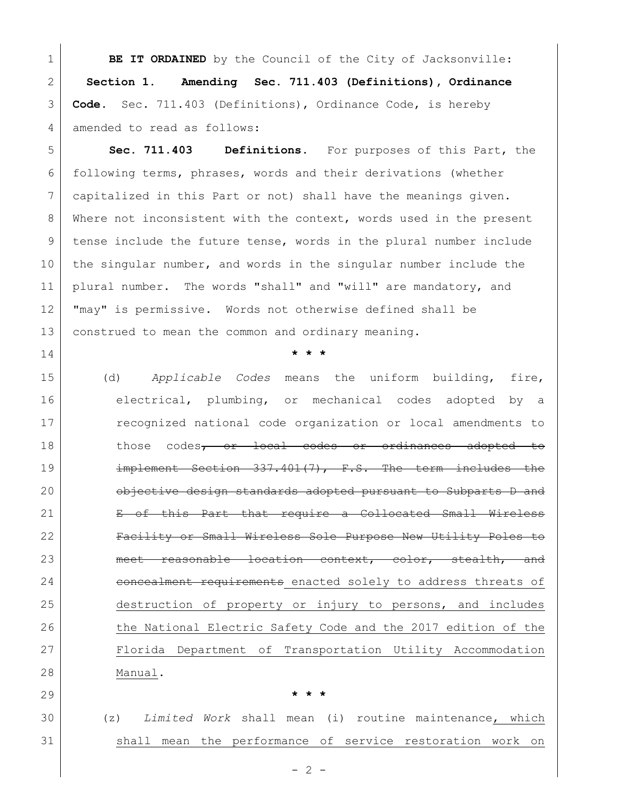**BE IT ORDAINED** by the Council of the City of Jacksonville: **Section 1. Amending Sec. 711.403 (Definitions), Ordinance Code.** Sec. 711.403 (Definitions), Ordinance Code, is hereby amended to read as follows:

 **Sec. 711.403 Definitions.** For purposes of this Part, the following terms, phrases, words and their derivations (whether capitalized in this Part or not) shall have the meanings given. 8 Where not inconsistent with the context, words used in the present 9 tense include the future tense, words in the plural number include the singular number, and words in the singular number include the plural number. The words "shall" and "will" are mandatory, and "may" is permissive. Words not otherwise defined shall be construed to mean the common and ordinary meaning.

**\* \* \***

 (d) *Applicable Codes* means the uniform building, fire, 16 electrical, plumbing, or mechanical codes adopted by a recognized national code organization or local amendments to 18 those codes<del>, or local codes or ordinances adopted to</del> implement Section 337.401(7), F.S. The term includes the **b** objective design standards adopted pursuant to Subparts D and E of this Part that require a Collocated Small Wireless Facility or Small Wireless Sole Purpose New Utility Poles to 23 meet reasonable location context, color, stealth, and 24 concealment requirements enacted solely to address threats of destruction of property or injury to persons, and includes 26 the National Electric Safety Code and the 2017 edition of the Florida Department of Transportation Utility Accommodation Manual.

**\* \* \***

 (z) *Limited Work* shall mean (i) routine maintenance, which shall mean the performance of service restoration work on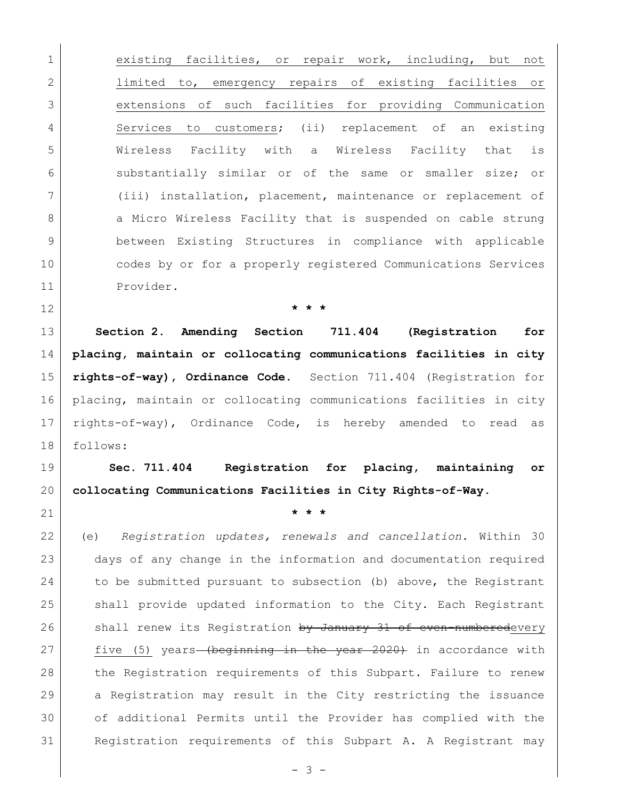**existing facilities,** or repair work, including, but not limited to, emergency repairs of existing facilities or extensions of such facilities for providing Communication 4 Services to customers; (ii) replacement of an existing Wireless Facility with a Wireless Facility that is 6 5 6 substantially similar or of the same or smaller size; or (iii) installation, placement, maintenance or replacement of 8 a Micro Wireless Facility that is suspended on cable strung between Existing Structures in compliance with applicable codes by or for a properly registered Communications Services Provider.

 **Section 2. Amending Section 711.404 (Registration for placing, maintain or collocating communications facilities in city rights-of-way), Ordinance Code.** Section 711.404 (Registration for placing, maintain or collocating communications facilities in city rights-of-way), Ordinance Code, is hereby amended to read as follows:

**\* \* \***

 **Sec. 711.404 Registration for placing, maintaining or collocating Communications Facilities in City Rights-of-Way.** 

**\* \* \***

 (e) *Registration updates, renewals and cancellation.* Within 30 days of any change in the information and documentation required 24 to be submitted pursuant to subsection (b) above, the Registrant shall provide updated information to the City. Each Registrant 26 shall renew its Registration by January 31 of even-numberedevery five (5) years (beginning in the year 2020) in accordance with 28 the Registration requirements of this Subpart. Failure to renew 29 a Registration may result in the City restricting the issuance of additional Permits until the Provider has complied with the Registration requirements of this Subpart A. A Registrant may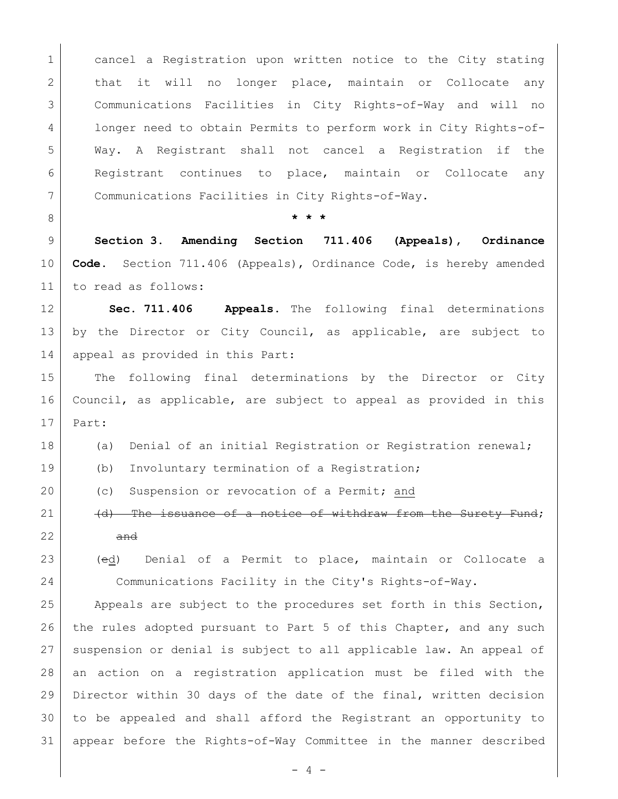1 cancel a Registration upon written notice to the City stating 2 that it will no longer place, maintain or Collocate any Communications Facilities in City Rights-of-Way and will no longer need to obtain Permits to perform work in City Rights-of- Way. A Registrant shall not cancel a Registration if the Registrant continues to place, maintain or Collocate any Communications Facilities in City Rights-of-Way. **\* \* \* Section 3. Amending Section 711.406 (Appeals), Ordinance Code.** Section 711.406 (Appeals), Ordinance Code, is hereby amended to read as follows: **Sec. 711.406 Appeals.** The following final determinations by the Director or City Council, as applicable, are subject to 14 appeal as provided in this Part: 15 The following final determinations by the Director or City Council, as applicable, are subject to appeal as provided in this Part: 18 (a) Denial of an initial Registration or Registration renewal; 19 (b) Involuntary termination of a Registration; 20 (c) Suspension or revocation of a Permit; and  $\vert$  (d) The issuance of a notice of withdraw from the Surety Fund; and (ed) Denial of a Permit to place, maintain or Collocate a Communications Facility in the City's Rights-of-Way. Appeals are subject to the procedures set forth in this Section, 26 the rules adopted pursuant to Part 5 of this Chapter, and any such

27 suspension or denial is subject to all applicable law. An appeal of an action on a registration application must be filed with the Director within 30 days of the date of the final, written decision to be appealed and shall afford the Registrant an opportunity to appear before the Rights-of-Way Committee in the manner described

 $- 4 -$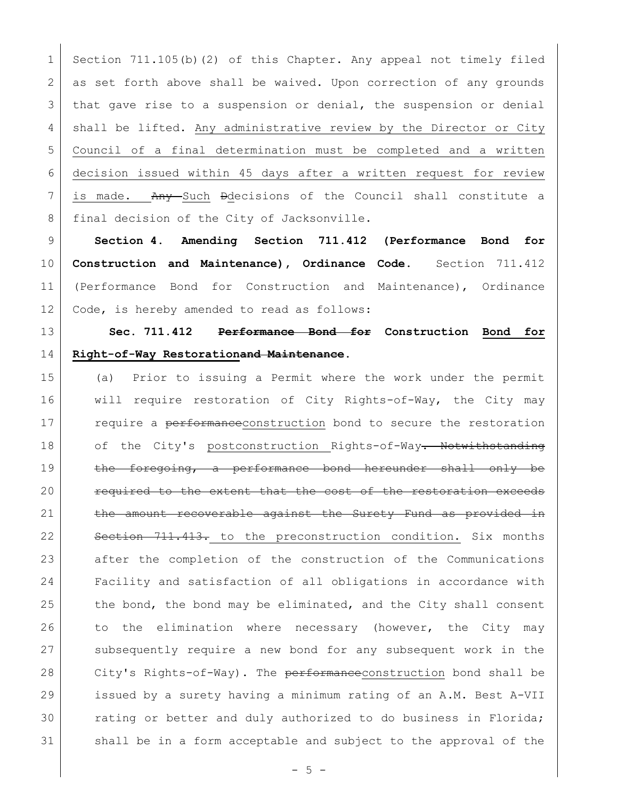1 Section 711.105(b)(2) of this Chapter. Any appeal not timely filed 2 as set forth above shall be waived. Upon correction of any grounds 3 that gave rise to a suspension or denial, the suspension or denial 4 shall be lifted. Any administrative review by the Director or City 5 Council of a final determination must be completed and a written 6 decision issued within 45 days after a written request for review  $7$  is made. Any Such Ddecisions of the Council shall constitute a 8 final decision of the City of Jacksonville.

 **Section 4. Amending Section 711.412 (Performance Bond for Construction and Maintenance), Ordinance Code.** Section 711.412 (Performance Bond for Construction and Maintenance), Ordinance Code, is hereby amended to read as follows:

13 **Sec. 711.412 Performance Bond for Construction Bond for**  14 **Right-of-Way Restorationand Maintenance.** 

15 (a) Prior to issuing a Permit where the work under the permit 16 will require restoration of City Rights-of-Way, the City may 17 require a performance construction bond to secure the restoration 18 of the City's postconstruction Rights-of-Way. Notwithstanding 19 the foregoing, a performance bond hereunder shall only be 20 **required to the extent that the cost of the restoration exceeds** 21 the amount recoverable against the Surety Fund as provided in 22 | Section 711.413. to the preconstruction condition. Six months 23 after the completion of the construction of the Communications 24 Facility and satisfaction of all obligations in accordance with 25 the bond, the bond may be eliminated, and the City shall consent 26 to the elimination where necessary (however, the City may 27 subsequently require a new bond for any subsequent work in the 28 City's Rights-of-Way). The performance construction bond shall be 29 issued by a surety having a minimum rating of an A.M. Best A-VII 30 rating or better and duly authorized to do business in Florida; 31 shall be in a form acceptable and subject to the approval of the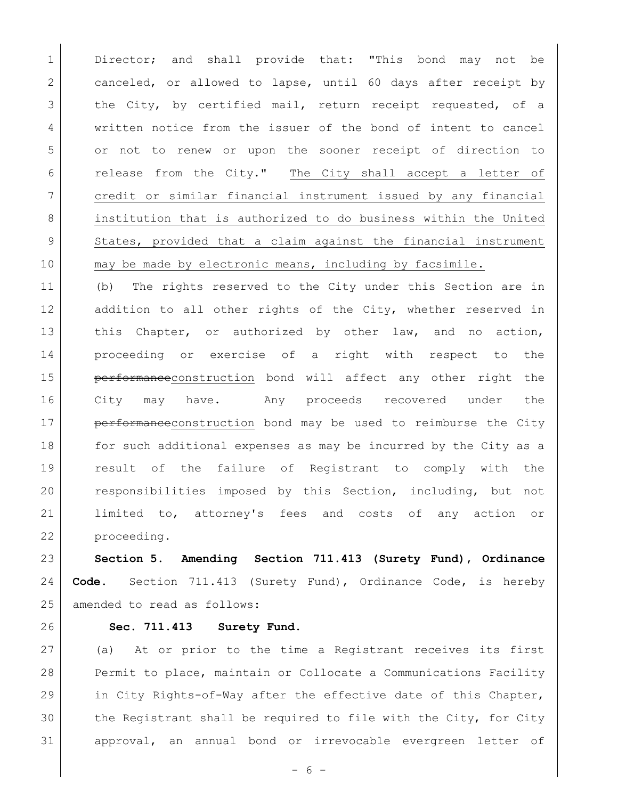1 Director; and shall provide that: "This bond may not be 2 canceled, or allowed to lapse, until 60 days after receipt by 3 the City, by certified mail, return receipt requested, of a 4 written notice from the issuer of the bond of intent to cancel or not to renew or upon the sooner receipt of direction to release from the City." The City shall accept a letter of credit or similar financial instrument issued by any financial institution that is authorized to do business within the United States, provided that a claim against the financial instrument 10 may be made by electronic means, including by facsimile.

 (b) The rights reserved to the City under this Section are in 12 addition to all other rights of the City, whether reserved in 13 this Chapter, or authorized by other law, and no action, proceeding or exercise of a right with respect to the 15 | performanceconstruction bond will affect any other right the City may have. Any proceeds recovered under the **performance** construction bond may be used to reimburse the City 18 | for such additional expenses as may be incurred by the City as a result of the failure of Registrant to comply with the responsibilities imposed by this Section, including, but not 21 | limited to, attorney's fees and costs of any action or proceeding.

 **Section 5. Amending Section 711.413 (Surety Fund), Ordinance Code.** Section 711.413 (Surety Fund), Ordinance Code, is hereby amended to read as follows:

### **Sec. 711.413 Surety Fund.**

 (a) At or prior to the time a Registrant receives its first Permit to place, maintain or Collocate a Communications Facility in City Rights-of-Way after the effective date of this Chapter, the Registrant shall be required to file with the City, for City approval, an annual bond or irrevocable evergreen letter of

- 6 -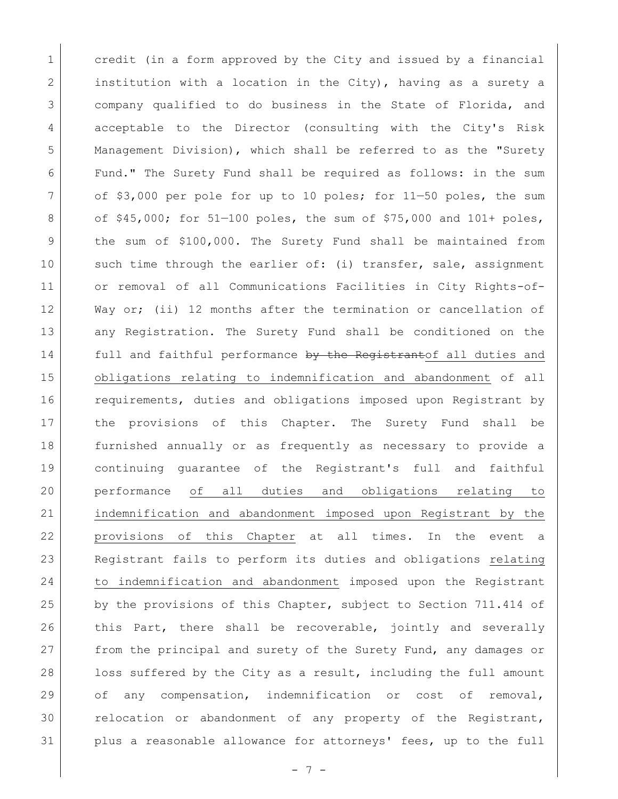1 credit (in a form approved by the City and issued by a financial 2 institution with a location in the City), having as a surety a 3 company qualified to do business in the State of Florida, and 4 acceptable to the Director (consulting with the City's Risk 5 Management Division), which shall be referred to as the "Surety 6 Fund." The Surety Fund shall be required as follows: in the sum 7 of \$3,000 per pole for up to 10 poles; for 11-50 poles, the sum 8 of  $$45,000;$  for  $51-100$  poles, the sum of  $$75,000$  and  $101+$  poles, 9 | the sum of \$100,000. The Surety Fund shall be maintained from 10 such time through the earlier of: (i) transfer, sale, assignment 11 or removal of all Communications Facilities in City Rights-of-12 Way or; (ii) 12 months after the termination or cancellation of 13 any Registration. The Surety Fund shall be conditioned on the 14 full and faithful performance by the Registrantof all duties and 15 obligations relating to indemnification and abandonment of all 16 requirements, duties and obligations imposed upon Registrant by 17 the provisions of this Chapter. The Surety Fund shall be 18 furnished annually or as frequently as necessary to provide a 19 continuing guarantee of the Registrant's full and faithful 20 performance of all duties and obligations relating to 21 indemnification and abandonment imposed upon Registrant by the 22 provisions of this Chapter at all times. In the event a 23 Registrant fails to perform its duties and obligations relating 24 to indemnification and abandonment imposed upon the Registrant 25 by the provisions of this Chapter, subject to Section 711.414 of 26 this Part, there shall be recoverable, jointly and severally 27 from the principal and surety of the Surety Fund, any damages or 28 loss suffered by the City as a result, including the full amount 29 of any compensation, indemnification or cost of removal, 30 relocation or abandonment of any property of the Registrant, 31 plus a reasonable allowance for attorneys' fees, up to the full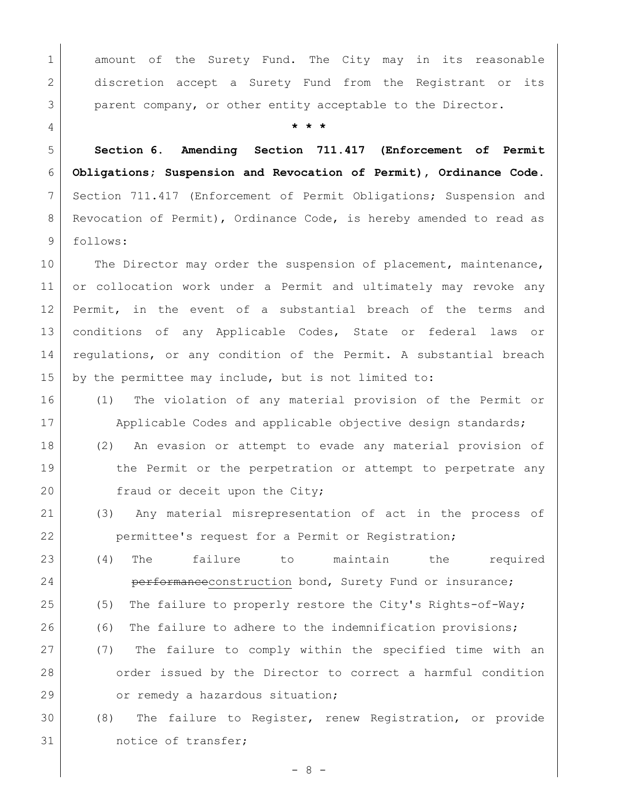1 amount of the Surety Fund. The City may in its reasonable 2 discretion accept a Surety Fund from the Registrant or its 3 parent company, or other entity acceptable to the Director.

4 **\* \* \***

5 **Section 6. Amending Section 711.417 (Enforcement of Permit**  6 **Obligations; Suspension and Revocation of Permit), Ordinance Code.**  7 Section 711.417 (Enforcement of Permit Obligations; Suspension and 8 Revocation of Permit), Ordinance Code, is hereby amended to read as 9 follows:

10 The Director may order the suspension of placement, maintenance, 11 or collocation work under a Permit and ultimately may revoke any 12 Permit, in the event of a substantial breach of the terms and 13 conditions of any Applicable Codes, State or federal laws or 14 | regulations, or any condition of the Permit. A substantial breach 15 by the permittee may include, but is not limited to:

- 16 (1) The violation of any material provision of the Permit or 17 | Applicable Codes and applicable objective design standards;
- 18 (2) An evasion or attempt to evade any material provision of 19 19 the Permit or the perpetration or attempt to perpetrate any 20 fraud or deceit upon the City;
- 21 (3) Any material misrepresentation of act in the process of 22 permittee's request for a Permit or Registration;
- 23 (4) The failure to maintain the required 24 **performance**construction bond, Surety Fund or insurance; 25 (5) The failure to properly restore the City's Rights-of-Way; 26 (6) The failure to adhere to the indemnification provisions; 27 (7) The failure to comply within the specified time with an 28 order issued by the Director to correct a harmful condition
- 29 or remedy a hazardous situation;
- 30 (8) The failure to Register, renew Registration, or provide 31 notice of transfer;

- 8 -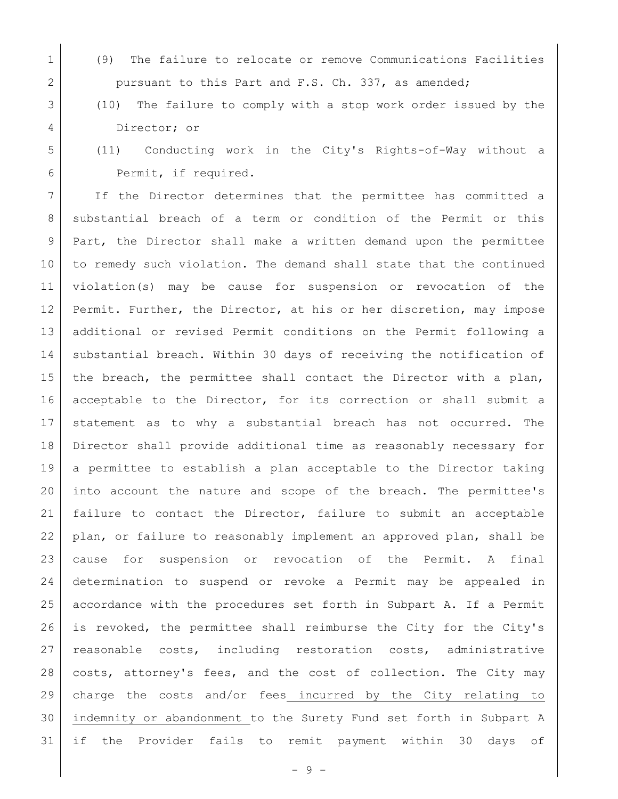1 (9) The failure to relocate or remove Communications Facilities 2 pursuant to this Part and F.S. Ch. 337, as amended;

# (10) The failure to comply with a stop work order issued by the Director; or

 (11) Conducting work in the City's Rights-of-Way without a Permit, if required.

7 | If the Director determines that the permittee has committed a 8 substantial breach of a term or condition of the Permit or this 9 Part, the Director shall make a written demand upon the permittee to remedy such violation. The demand shall state that the continued violation(s) may be cause for suspension or revocation of the Permit. Further, the Director, at his or her discretion, may impose additional or revised Permit conditions on the Permit following a 14 | substantial breach. Within 30 days of receiving the notification of 15 | the breach, the permittee shall contact the Director with a plan, acceptable to the Director, for its correction or shall submit a statement as to why a substantial breach has not occurred. The Director shall provide additional time as reasonably necessary for a permittee to establish a plan acceptable to the Director taking into account the nature and scope of the breach. The permittee's failure to contact the Director, failure to submit an acceptable plan, or failure to reasonably implement an approved plan, shall be cause for suspension or revocation of the Permit. A final determination to suspend or revoke a Permit may be appealed in accordance with the procedures set forth in Subpart A. If a Permit is revoked, the permittee shall reimburse the City for the City's reasonable costs, including restoration costs, administrative costs, attorney's fees, and the cost of collection. The City may charge the costs and/or fees incurred by the City relating to indemnity or abandonment to the Surety Fund set forth in Subpart A if the Provider fails to remit payment within 30 days of

- 9 -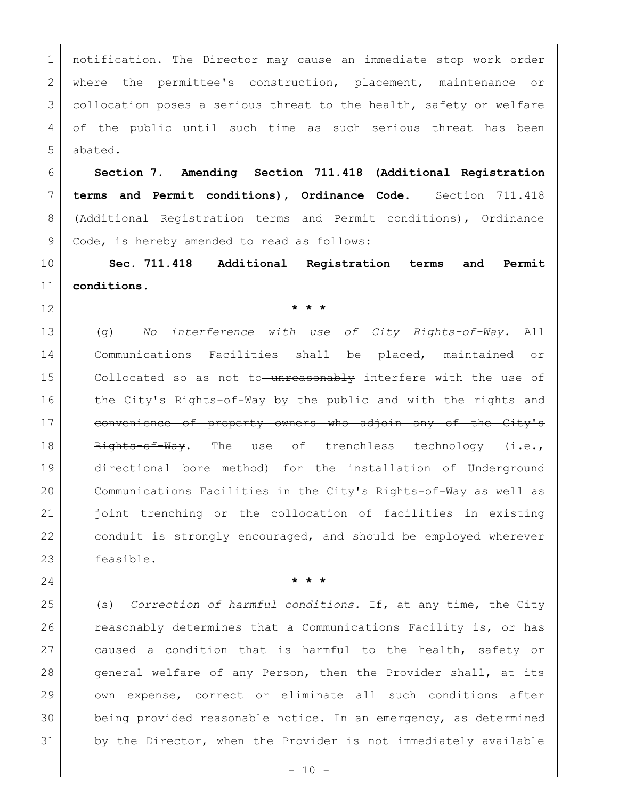notification. The Director may cause an immediate stop work order 2 where the permittee's construction, placement, maintenance or 3 collocation poses a serious threat to the health, safety or welfare 4 of the public until such time as such serious threat has been abated.

 **Section 7. Amending Section 711.418 (Additional Registration terms and Permit conditions), Ordinance Code.** Section 711.418 (Additional Registration terms and Permit conditions), Ordinance 9 Code, is hereby amended to read as follows:

 **Sec. 711.418 Additional Registration terms and Permit conditions.**

**\* \* \***

 (g) *No interference with use of City Rights-of-Way.* All Communications Facilities shall be placed, maintained or 15 Collocated so as not to unreasonably interfere with the use of 16 the City's Rights-of-Way by the public and with the rights and 17 convenience of property owners who adjoin any of the City's 18 Rights-of-Way. The use of trenchless technology (i.e., directional bore method) for the installation of Underground Communications Facilities in the City's Rights-of-Way as well as joint trenching or the collocation of facilities in existing conduit is strongly encouraged, and should be employed wherever feasible.

**\* \* \***

 (s) *Correction of harmful conditions.* If, at any time, the City 26 reasonably determines that a Communications Facility is, or has 27 caused a condition that is harmful to the health, safety or general welfare of any Person, then the Provider shall, at its own expense, correct or eliminate all such conditions after being provided reasonable notice. In an emergency, as determined by the Director, when the Provider is not immediately available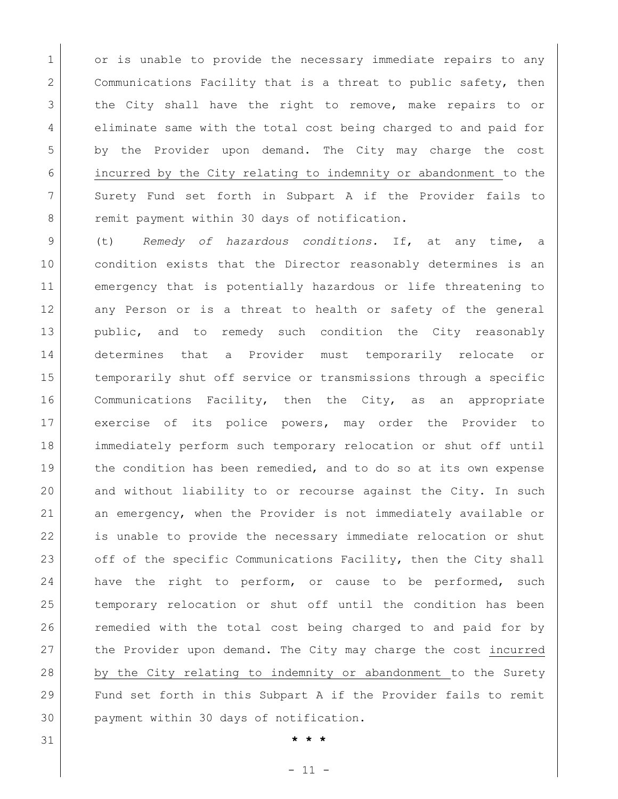1 or is unable to provide the necessary immediate repairs to any 2 Communications Facility that is a threat to public safety, then 3 | the City shall have the right to remove, make repairs to or 4 eliminate same with the total cost being charged to and paid for 5 by the Provider upon demand. The City may charge the cost 6 incurred by the City relating to indemnity or abandonment to the 7 Surety Fund set forth in Subpart A if the Provider fails to 8 remit payment within 30 days of notification.

 (t) *Remedy of hazardous conditions.* If, at any time, a condition exists that the Director reasonably determines is an emergency that is potentially hazardous or life threatening to 12 any Person or is a threat to health or safety of the general public, and to remedy such condition the City reasonably determines that a Provider must temporarily relocate or 15 | temporarily shut off service or transmissions through a specific Communications Facility, then the City, as an appropriate exercise of its police powers, may order the Provider to immediately perform such temporary relocation or shut off until 19 the condition has been remedied, and to do so at its own expense and without liability to or recourse against the City. In such an emergency, when the Provider is not immediately available or is unable to provide the necessary immediate relocation or shut 23 off of the specific Communications Facility, then the City shall 24 have the right to perform, or cause to be performed, such temporary relocation or shut off until the condition has been 26 | remedied with the total cost being charged to and paid for by the Provider upon demand. The City may charge the cost incurred 28 by the City relating to indemnity or abandonment to the Surety Fund set forth in this Subpart A if the Provider fails to remit payment within 30 days of notification.

31 **\* \* \***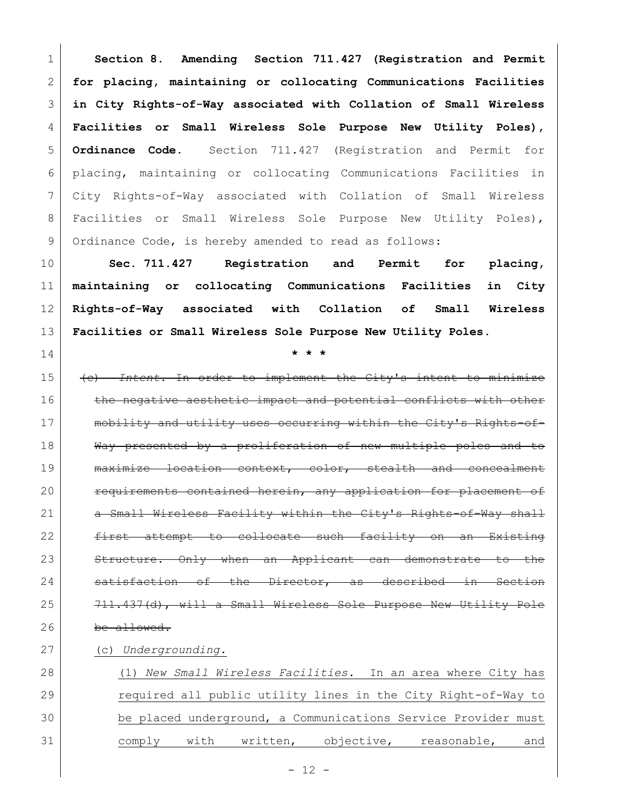**Section 8. Amending Section 711.427 (Registration and Permit for placing, maintaining or collocating Communications Facilities in City Rights-of-Way associated with Collation of Small Wireless Facilities or Small Wireless Sole Purpose New Utility Poles), Ordinance Code.** Section 711.427 (Registration and Permit for placing, maintaining or collocating Communications Facilities in City Rights-of-Way associated with Collation of Small Wireless 8 Facilities or Small Wireless Sole Purpose New Utility Poles), 9 Ordinance Code, is hereby amended to read as follows:

 **Sec. 711.427 Registration and Permit for placing, maintaining or collocating Communications Facilities in City Rights-of-Way associated with Collation of Small Wireless Facilities or Small Wireless Sole Purpose New Utility Poles.**

 (c) *Intent.* In order to implement the City's intent to minimize 16 the negative aesthetic impact and potential conflicts with other 17 | mobility and utility uses occurring within the City's Rights-of-18 Way presented by a proliferation of new multiple poles and to 19 | maximize location context, color, stealth and concealment **requirements contained herein, any application for placement of** 21 a Small Wireless Facility within the City's Rights-of-Way shall 22 first attempt to collocate such facility on an Existing 23 Structure. Only when an Applicant can demonstrate to the 24 satisfaction of the Director, as described in Section 711.437(d), will a Small Wireless Sole Purpose New Utility Pole 26 be allowed.

## (c) *Undergrounding*.

**\* \* \***

| 28 |  |             | (1) New Small Wireless Facilities. In an area where City has  |            |  |             |     |
|----|--|-------------|---------------------------------------------------------------|------------|--|-------------|-----|
| 29 |  |             | required all public utility lines in the City Right-of-Way to |            |  |             |     |
| 30 |  |             | be placed underground, a Communications Service Provider must |            |  |             |     |
| 31 |  | comply with | written,                                                      | objective, |  | reasonable, | and |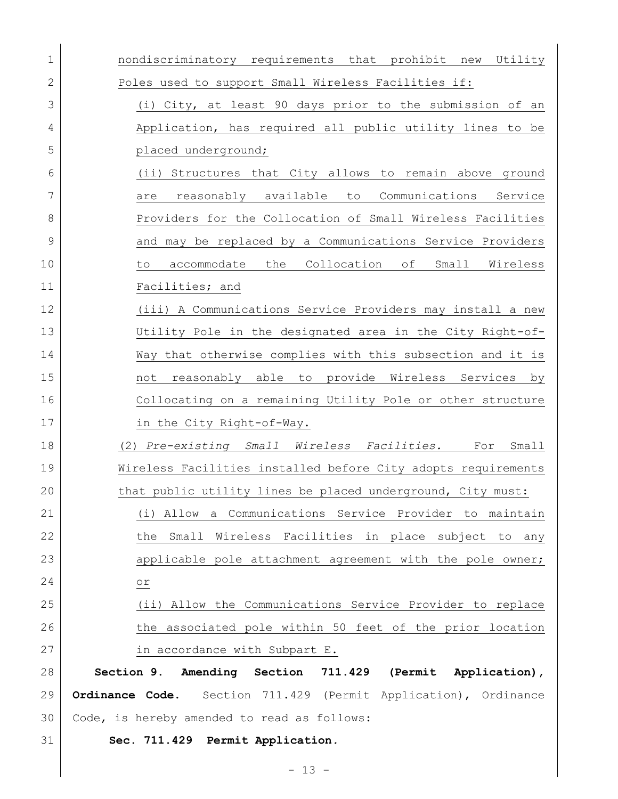| 1  | nondiscriminatory requirements that prohibit new Utility           |
|----|--------------------------------------------------------------------|
| 2  | Poles used to support Small Wireless Facilities if:                |
| 3  | (i) City, at least 90 days prior to the submission of an           |
| 4  | Application, has required all public utility lines to be           |
| 5  | placed underground;                                                |
| 6  | (ii) Structures that City allows to remain above ground            |
| 7  | reasonably available<br>Communications<br>to<br>Service<br>are     |
| 8  | Providers for the Collocation of Small Wireless Facilities         |
| 9  | and may be replaced by a Communications Service Providers          |
| 10 | the Collocation of<br>Wireless<br>accommodate<br>Small<br>to       |
| 11 | Facilities; and                                                    |
| 12 | (iii) A Communications Service Providers may install a new         |
| 13 | Utility Pole in the designated area in the City Right-of-          |
| 14 | Way that otherwise complies with this subsection and it is         |
| 15 | reasonably able to provide Wireless Services<br>not<br>by          |
| 16 | Collocating on a remaining Utility Pole or other structure         |
| 17 | in the City Right-of-Way.                                          |
| 18 | (2) Pre-existing Small Wireless Facilities.<br>Small<br>For        |
| 19 | Wireless Facilities installed before City adopts requirements      |
| 20 | that public utility lines be placed underground, City must:        |
| 21 | (i) Allow a Communications Service Provider to maintain            |
| 22 | the Small Wireless Facilities in place subject to any              |
| 23 | applicable pole attachment agreement with the pole owner;          |
| 24 | $\circ r$                                                          |
| 25 | (ii) Allow the Communications Service Provider to replace          |
| 26 | the associated pole within 50 feet of the prior location           |
| 27 | in accordance with Subpart E.                                      |
| 28 | Section 9. Amending Section 711.429 (Permit Application),          |
| 29 | Section 711.429 (Permit Application), Ordinance<br>Ordinance Code. |
| 30 | Code, is hereby amended to read as follows:                        |
| 31 | Sec. 711.429 Permit Application.                                   |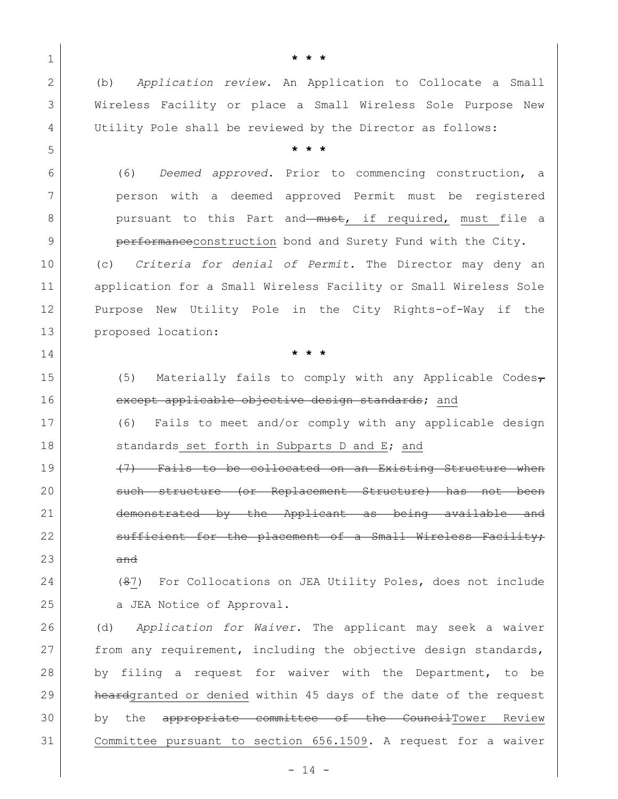1 **\* \* \*** 2 (b) *Application review.* An Application to Collocate a Small 3 Wireless Facility or place a Small Wireless Sole Purpose New 4 Utility Pole shall be reviewed by the Director as follows: 5 **\* \* \*** 6 (6) *Deemed approved.* Prior to commencing construction, a 7 person with a deemed approved Permit must be registered 8 pursuant to this Part and must, if required, must file a 9 **performance** construction bond and Surety Fund with the City. 10 (c) *Criteria for denial of Permit.* The Director may deny an 11 | application for a Small Wireless Facility or Small Wireless Sole 12 Purpose New Utility Pole in the City Rights-of-Way if the 13 proposed location: 14 **\* \* \*** 15 (5) Materially fails to comply with any Applicable Codes $_{\tau}$ 16 except applicable objective design standards; and 17 (6) Fails to meet and/or comply with any applicable design 18 Standards set forth in Subparts D and E; and  $19$  (7) Fails to be collocated on an Existing Structure when 20 such structure (or Replacement Structure) has not been 21 demonstrated by the Applicant as being available and 22 sufficient for the placement of a Small Wireless Facility;  $23$  and 24 (87) For Collocations on JEA Utility Poles, does not include 25 a JEA Notice of Approval. 26 (d) *Application for Waiver.* The applicant may seek a waiver 27 from any requirement, including the objective design standards, 28 by filing a request for waiver with the Department, to be 29 heardgranted or denied within 45 days of the date of the request

30 by the appropriate committee of the CouncilTower Review 31 Committee pursuant to section 656.1509. A request for a waiver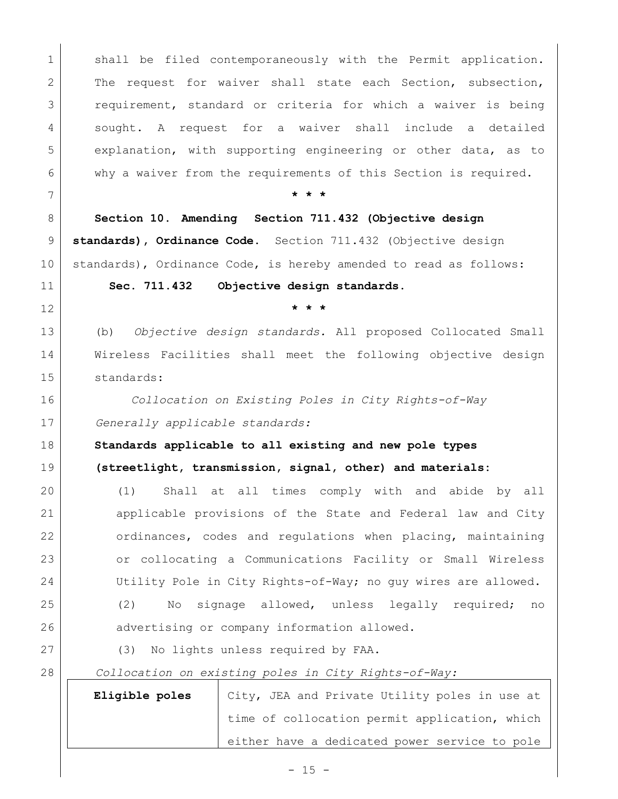1 shall be filed contemporaneously with the Permit application. 2 The request for waiver shall state each Section, subsection, requirement, standard or criteria for which a waiver is being sought. A request for a waiver shall include a detailed explanation, with supporting engineering or other data, as to why a waiver from the requirements of this Section is required. **\* \* \* Section 10. Amending Section 711.432 (Objective design standards), Ordinance Code.** Section 711.432 (Objective design standards), Ordinance Code, is hereby amended to read as follows: **Sec. 711.432 Objective design standards. \* \* \*** (b) *Objective design standards.* All proposed Collocated Small Wireless Facilities shall meet the following objective design standards: *Collocation on Existing Poles in City Rights-of-Way Generally applicable standards:* **Standards applicable to all existing and new pole types (streetlight, transmission, signal, other) and materials:** (1) Shall at all times comply with and abide by all applicable provisions of the State and Federal law and City 22 ordinances, codes and regulations when placing, maintaining or collocating a Communications Facility or Small Wireless 24 Utility Pole in City Rights-of-Way; no guy wires are allowed. (2) No signage allowed, unless legally required; no 26 advertising or company information allowed. 27 (3) No lights unless required by FAA. *Collocation on existing poles in City Rights-of-Way:* **Eligible poles** | City, JEA and Private Utility poles in use at time of collocation permit application, which either have a dedicated power service to pole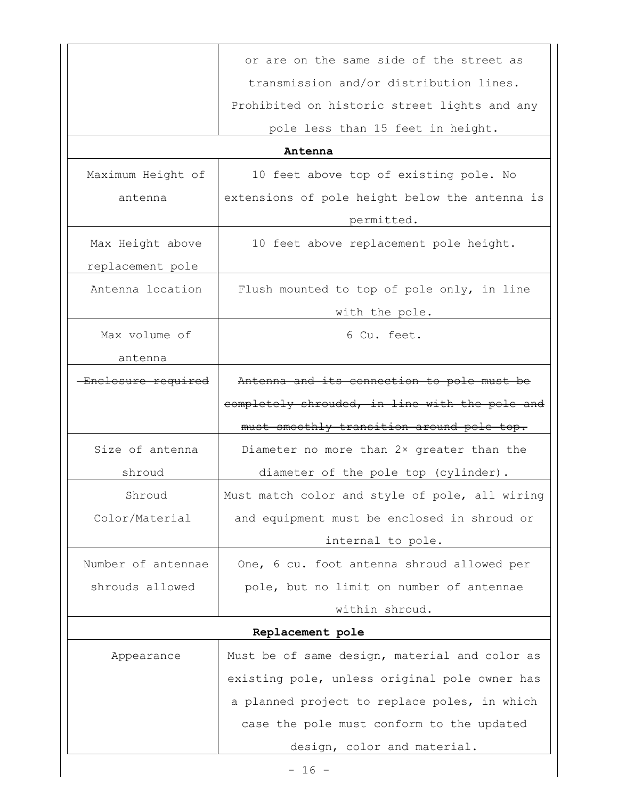|                          | or are on the same side of the street as                     |  |  |  |
|--------------------------|--------------------------------------------------------------|--|--|--|
|                          | transmission and/or distribution lines.                      |  |  |  |
|                          | Prohibited on historic street lights and any                 |  |  |  |
|                          | pole less than 15 feet in height.                            |  |  |  |
|                          | Antenna                                                      |  |  |  |
| Maximum Height of        | 10 feet above top of existing pole. No                       |  |  |  |
| antenna                  | extensions of pole height below the antenna is<br>permitted. |  |  |  |
| Max Height above         | 10 feet above replacement pole height.                       |  |  |  |
| replacement pole         |                                                              |  |  |  |
| Antenna location         | Flush mounted to top of pole only, in line                   |  |  |  |
|                          | with the pole.                                               |  |  |  |
| Max volume of<br>antenna | 6 Cu. feet.                                                  |  |  |  |
| Enclosure required       | Antenna and its connection to pole must be                   |  |  |  |
|                          | completely shrouded, in line with the pole and               |  |  |  |
|                          | must smoothly transition around pole top.                    |  |  |  |
| Size of antenna          | Diameter no more than 2x greater than the                    |  |  |  |
| shroud                   | diameter of the pole top (cylinder).                         |  |  |  |
| Shroud                   | Must match color and style of pole, all wiring               |  |  |  |
| Color/Material           | and equipment must be enclosed in shroud or                  |  |  |  |
|                          | internal to pole.                                            |  |  |  |
| Number of antennae       | One, 6 cu. foot antenna shroud allowed per                   |  |  |  |
| shrouds allowed          | pole, but no limit on number of antennae                     |  |  |  |
|                          | within shroud.                                               |  |  |  |
|                          | Replacement pole                                             |  |  |  |
| Appearance               | Must be of same design, material and color as                |  |  |  |
|                          | existing pole, unless original pole owner has                |  |  |  |
|                          | a planned project to replace poles, in which                 |  |  |  |
|                          | case the pole must conform to the updated                    |  |  |  |
|                          | design, color and material.                                  |  |  |  |
|                          | $-16 -$                                                      |  |  |  |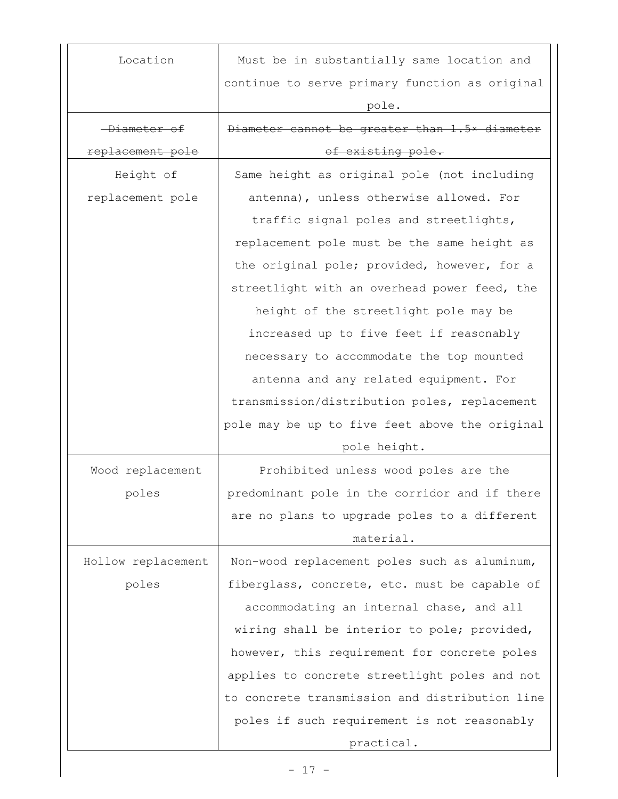| Location                | Must be in substantially same location and     |
|-------------------------|------------------------------------------------|
|                         | continue to serve primary function as original |
|                         | pole.                                          |
| <del>-Diameter of</del> | Diameter cannot be greater than 1.5x diameter  |
| replacement pole        | of existing pole.                              |
| Height of               | Same height as original pole (not including    |
| replacement pole        | antenna), unless otherwise allowed. For        |
|                         | traffic signal poles and streetlights,         |
|                         | replacement pole must be the same height as    |
|                         | the original pole; provided, however, for a    |
|                         | streetlight with an overhead power feed, the   |
|                         | height of the streetlight pole may be          |
|                         | increased up to five feet if reasonably        |
|                         | necessary to accommodate the top mounted       |
|                         | antenna and any related equipment. For         |
|                         | transmission/distribution poles, replacement   |
|                         | pole may be up to five feet above the original |
|                         | pole height.                                   |
| Wood replacement        | Prohibited unless wood poles are the           |
| poles                   | predominant pole in the corridor and if there  |
|                         | are no plans to upgrade poles to a different   |
|                         | material.                                      |
| Hollow replacement      | Non-wood replacement poles such as aluminum,   |
| poles                   | fiberglass, concrete, etc. must be capable of  |
|                         | accommodating an internal chase, and all       |
|                         | wiring shall be interior to pole; provided,    |
|                         | however, this requirement for concrete poles   |
|                         | applies to concrete streetlight poles and not  |
|                         | to concrete transmission and distribution line |
|                         | poles if such requirement is not reasonably    |
|                         | practical.                                     |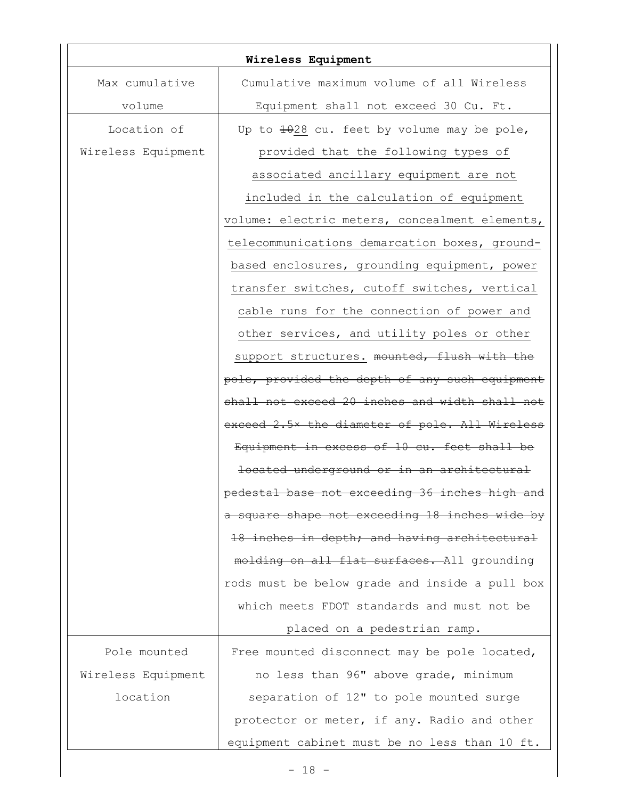| Wireless Equipment |                                                |  |
|--------------------|------------------------------------------------|--|
| Max cumulative     | Cumulative maximum volume of all Wireless      |  |
| volume             | Equipment shall not exceed 30 Cu. Ft.          |  |
| Location of        | Up to 1028 cu. feet by volume may be pole,     |  |
| Wireless Equipment | provided that the following types of           |  |
|                    | associated ancillary equipment are not         |  |
|                    | included in the calculation of equipment       |  |
|                    | volume: electric meters, concealment elements, |  |
|                    | telecommunications demarcation boxes, ground-  |  |
|                    | based enclosures, grounding equipment, power   |  |
|                    | transfer switches, cutoff switches, vertical   |  |
|                    | cable runs for the connection of power and     |  |
|                    | other services, and utility poles or other     |  |
|                    | support structures. mounted, flush with the    |  |
|                    | pole, provided the depth of any such equipment |  |
|                    | shall not exceed 20 inches and width shall not |  |
|                    | exceed 2.5x the diameter of pole. All Wireless |  |
|                    | Equipment in excess of 10 cu. feet shall be    |  |
|                    | located underground or in an architectural     |  |
|                    | pedestal base not exceeding 36 inches high and |  |
|                    | a square shape not exceeding 18 inches wide by |  |
|                    | 18 inches in depth; and having architectural   |  |
|                    | molding on all flat surfaces. All grounding    |  |
|                    | rods must be below grade and inside a pull box |  |
|                    | which meets FDOT standards and must not be     |  |
|                    | placed on a pedestrian ramp.                   |  |
| Pole mounted       | Free mounted disconnect may be pole located,   |  |
| Wireless Equipment | no less than 96" above grade, minimum          |  |
| location           | separation of 12" to pole mounted surge        |  |
|                    | protector or meter, if any. Radio and other    |  |
|                    | equipment cabinet must be no less than 10 ft.  |  |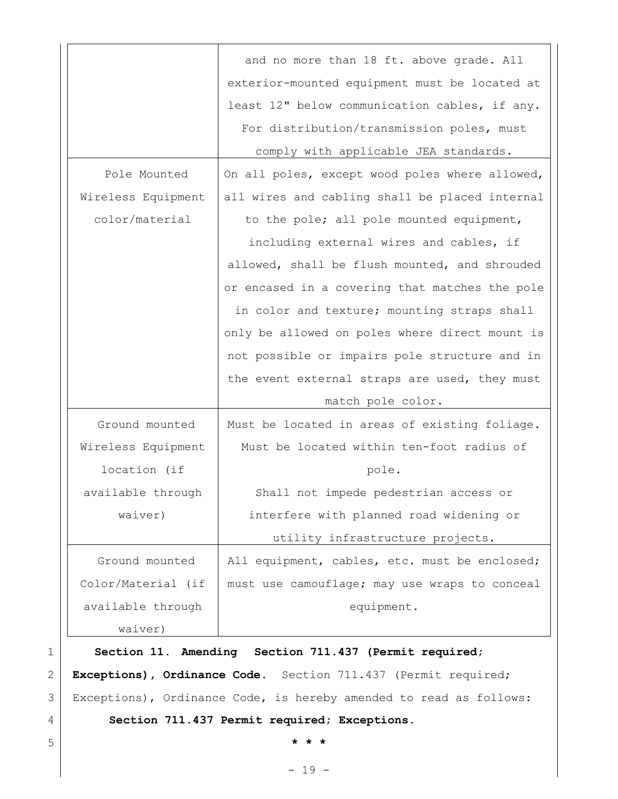|                    | and no more than 18 ft. above grade. All       |
|--------------------|------------------------------------------------|
|                    | exterior-mounted equipment must be located at  |
|                    | least 12" below communication cables, if any.  |
|                    | For distribution/transmission poles, must      |
|                    | comply with applicable JEA standards.          |
| Pole Mounted       | On all poles, except wood poles where allowed, |
| Wireless Equipment | all wires and cabling shall be placed internal |
| color/material     | to the pole; all pole mounted equipment,       |
|                    | including external wires and cables, if        |
|                    | allowed, shall be flush mounted, and shrouded  |
|                    | or encased in a covering that matches the pole |
|                    | in color and texture; mounting straps shall    |
|                    | only be allowed on poles where direct mount is |
|                    | not possible or impairs pole structure and in  |
|                    | the event external straps are used, they must  |
|                    | match pole color.                              |
| Ground mounted     | Must be located in areas of existing foliage.  |
| Wireless Equipment | Must be located within ten-foot radius of      |
| location (if       | pole.                                          |
| available through  | Shall not impede pedestrian access or          |
| waiver)            | interfere with planned road widening or        |
|                    | utility infrastructure projects.               |
| Ground mounted     | All equipment, cables, etc. must be enclosed;  |
| Color/Material (if | must use camouflage; may use wraps to conceal  |
| available through  | equipment.                                     |
| waiver)            |                                                |

1 **Section 11. Amending Section 711.437 (Permit required;**  2 **Exceptions), Ordinance Code.** Section 711.437 (Permit required; 3 Exceptions), Ordinance Code, is hereby amended to read as follows:

### 4 **Section 711.437 Permit required; Exceptions.**

5 **\* \* \***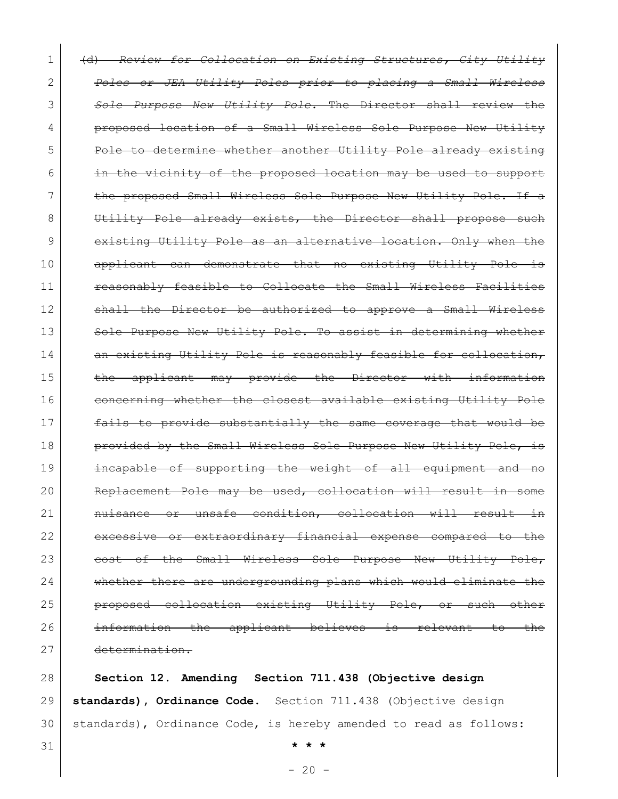1 (d) *Review for Collocation on Existing Structures, City Utility*  2 *Poles or JEA Utility Poles prior to placing a Small Wireless*  3 *Sole Purpose New Utility Pole.* The Director shall review the 4 **proposed location of a Small Wireless Sole Purpose New Utility** 5 Pole to determine whether another Utility Pole already existing 6 in the vicinity of the proposed location may be used to support 7 the proposed Small Wireless Sole Purpose New Utility Pole. If a 8 Utility Pole already exists, the Director shall propose such 9 existing Utility Pole as an alternative location. Only when the 10 applicant can demonstrate that no existing Utility Pole is 11 **Framably frasible to Collocate the Small Wireless Facilities** 12 Shall the Director be authorized to approve a Small Wireless 13 Sole Purpose New Utility Pole. To assist in determining whether 14 an existing Utility Pole is reasonably feasible for collocation, 15 the applicant may provide the Director with information 16 concerning whether the closest available existing Utility Pole 17 fails to provide substantially the same coverage that would be 18 **provided by the Small Wireless Sole Purpose New Utility Pole, is** 19 **incapable of supporting the weight of all equipment and no** 20 Replacement Pole may be used, collocation will result in 21 **nuisance or unsafe condition, collocation will result in** 22 excessive or extraordinary financial expense compared to the 23 cost of the Small Wireless Sole Purpose New Utility Pole, 24 whether there are undergrounding plans which would eliminate the 25 **proposed collocation existing Utility Pole, or such** 26 information the applicant believes is relevant to the 27 determination.

28 **Section 12. Amending Section 711.438 (Objective design**  29 **standards), Ordinance Code.** Section 711.438 (Objective design 30 | standards), Ordinance Code, is hereby amended to read as follows:

31 **\* \* \***

 $- 20 -$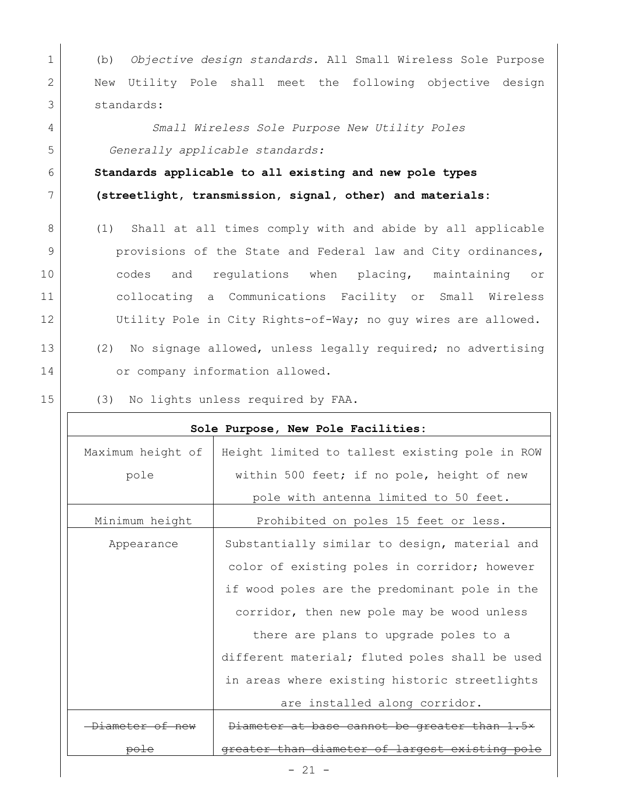1 (b) *Objective design standards.* All Small Wireless Sole Purpose 2 New Utility Pole shall meet the following objective design 3 standards:

4 *Small Wireless Sole Purpose New Utility Poles* 5 *Generally applicable standards:*

6 **Standards applicable to all existing and new pole types**  7 **(streetlight, transmission, signal, other) and materials:**

8 (1) Shall at all times comply with and abide by all applicable 9 **provisions of the State and Federal law and City ordinances,** 10 codes and regulations when placing, maintaining or 11 collocating a Communications Facility or Small Wireless 12 Utility Pole in City Rights-of-Way; no guy wires are allowed.

13 (2) No signage allowed, unless legally required; no advertising 14 or company information allowed.

15 (3) No lights unless required by FAA.

| Sole Purpose, New Pole Facilities: |                                                |  |
|------------------------------------|------------------------------------------------|--|
| Maximum height of                  | Height limited to tallest existing pole in ROW |  |
| pole                               | within 500 feet; if no pole, height of new     |  |
|                                    | pole with antenna limited to 50 feet.          |  |
| Minimum height                     | Prohibited on poles 15 feet or less.           |  |
| Appearance                         | Substantially similar to design, material and  |  |
|                                    | color of existing poles in corridor; however   |  |
|                                    | if wood poles are the predominant pole in the  |  |
|                                    | corridor, then new pole may be wood unless     |  |
|                                    | there are plans to upgrade poles to a          |  |
|                                    | different material; fluted poles shall be used |  |
|                                    | in areas where existing historic streetlights  |  |
|                                    | are installed along corridor.                  |  |
| <del>Diameter of new</del>         | Diameter at base cannot be greater than 1.5*   |  |
| <del>po L</del>                    | greater than diameter of largest existing pole |  |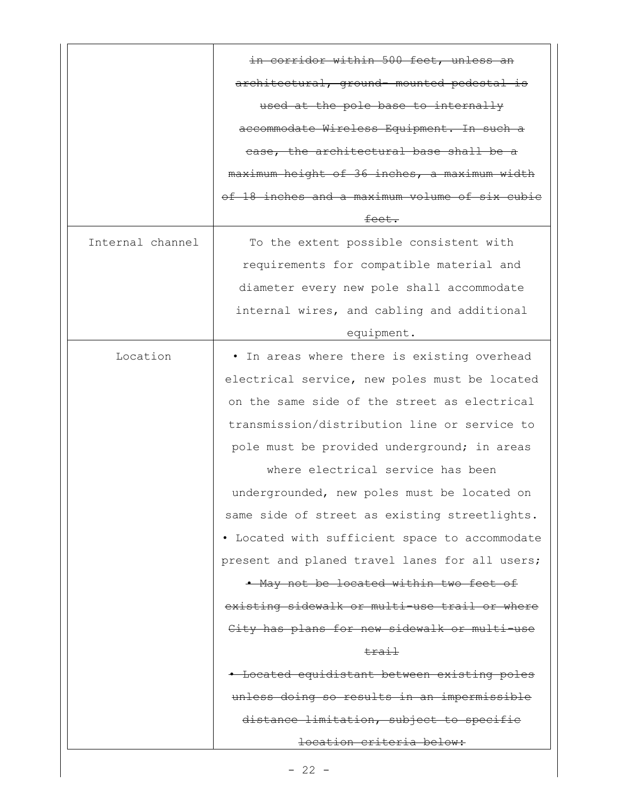|                  | in corridor within 500 feet, unless an         |
|------------------|------------------------------------------------|
|                  | architectural, ground- mounted pedestal is     |
|                  | used at the pole base to internally            |
|                  | accommodate Wireless Equipment. In such a      |
|                  | ease, the architectural base shall be a        |
|                  | maximum height of 36 inches, a maximum width   |
|                  | of 18 inches and a maximum volume of six cubic |
|                  | feet.                                          |
| Internal channel | To the extent possible consistent with         |
|                  | requirements for compatible material and       |
|                  | diameter every new pole shall accommodate      |
|                  | internal wires, and cabling and additional     |
|                  | equipment.                                     |
| Location         | . In areas where there is existing overhead    |
|                  | electrical service, new poles must be located  |
|                  | on the same side of the street as electrical   |
|                  | transmission/distribution line or service to   |
|                  | pole must be provided underground; in areas    |
|                  | where electrical service has been              |
|                  | undergrounded, new poles must be located on    |
|                  | same side of street as existing streetlights.  |
|                  | • Located with sufficient space to accommodate |
|                  | present and planed travel lanes for all users; |
|                  | . May not be located within two feet of        |
|                  | existing sidewalk or multi-use trail or where  |
|                  | City has plans for new sidewalk or multi-use   |
|                  | trail                                          |
|                  | - Located equidistant between existing poles   |
|                  | unless doing so results in an impermissible    |
|                  | distance limitation, subject to specifie       |
|                  | location criteria below:                       |

 $\overline{\phantom{a}}$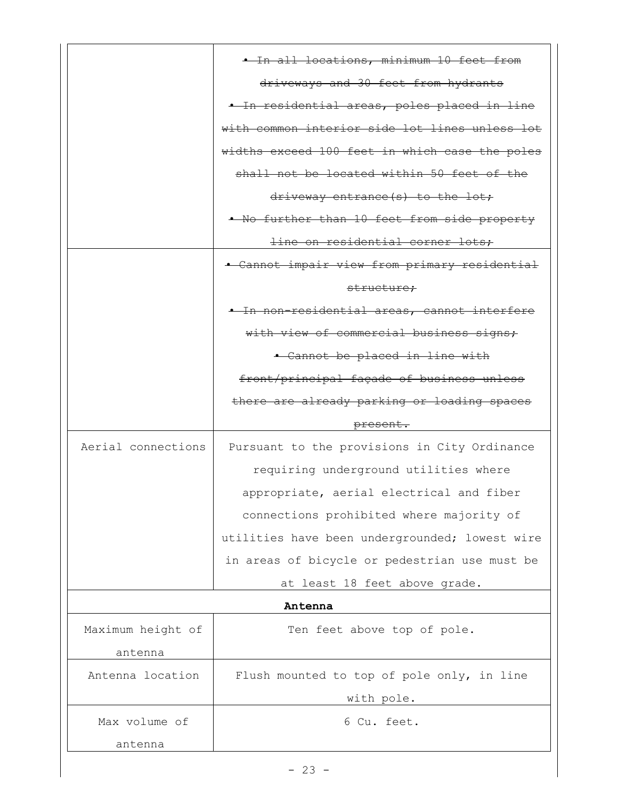|                    | . In all locations, minimum 10 feet from       |
|--------------------|------------------------------------------------|
|                    | driveways and 30 feet from hydrants            |
|                    | . In residential areas, poles placed in line   |
|                    | with common interior side lot lines unless lot |
|                    | widths exceed 100 feet in which case the poles |
|                    | shall not be located within 50 feet of the     |
|                    | driveway entrance(s) to the lot;               |
|                    | . No further than 10 feet from side property   |
|                    | line on residential corner lots;               |
|                    | • Cannot impair view from primary residential  |
|                    | structure;                                     |
|                    | + In non-residential areas, cannot interfere   |
|                    | with view of commercial business signs;        |
|                    | • Cannot be placed in line with                |
|                    | front/principal façade of business unless      |
|                    | there are already parking or loading spaces    |
|                    | present.                                       |
| Aerial connections | Pursuant to the provisions in City Ordinance   |
|                    | requiring underground utilities where          |
|                    | appropriate, aerial electrical and fiber       |
|                    | connections prohibited where majority of       |
|                    | utilities have been undergrounded; lowest wire |
|                    | in areas of bicycle or pedestrian use must be  |
|                    | at least 18 feet above grade.                  |
|                    | Antenna                                        |
| Maximum height of  |                                                |
|                    | Ten feet above top of pole.                    |
| antenna            |                                                |
| Antenna location   | Flush mounted to top of pole only, in line     |
|                    | with pole.                                     |
| Max volume of      | 6 Cu. feet.                                    |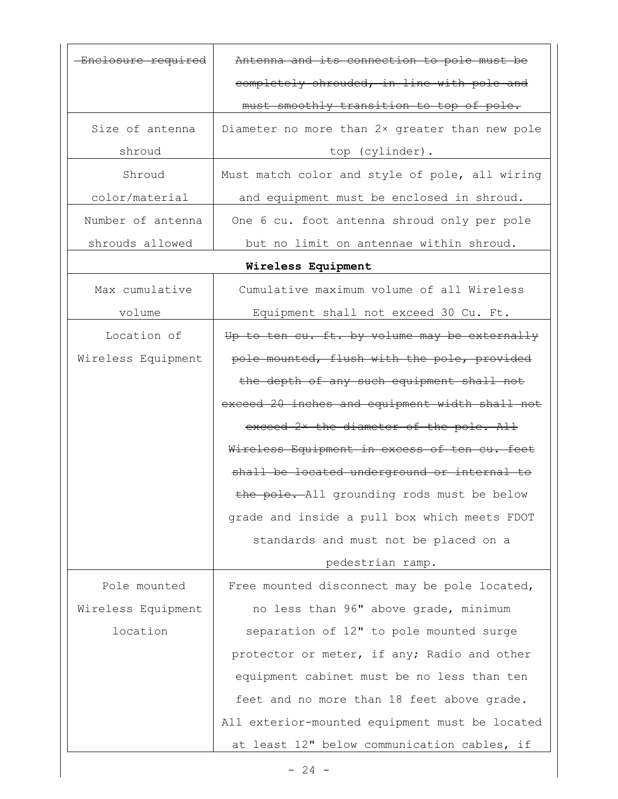| Enclosure required | Antenna and its connection to pole must be     |
|--------------------|------------------------------------------------|
|                    | completely shrouded, in line with pole and     |
|                    | must smoothly transition to top of pole.       |
| Size of antenna    | Diameter no more than 2x greater than new pole |
| shroud             | top (cylinder).                                |
| Shroud             | Must match color and style of pole, all wiring |
| color/material     | and equipment must be enclosed in shroud.      |
| Number of antenna  | One 6 cu. foot antenna shroud only per pole    |
| shrouds allowed    | but no limit on antennae within shroud.        |
|                    | Wireless Equipment                             |
| Max cumulative     | Cumulative maximum volume of all Wireless      |
| volume             | Equipment shall not exceed 30 Cu. Ft.          |
| Location of        | Up to ten cu. ft. by volume may be externally  |
| Wireless Equipment | pole mounted, flush with the pole, provided    |
|                    | the depth of any such equipment shall not      |
|                    | exceed 20 inches and equipment width shall not |
|                    | exceed 2x the diameter of the pole. All        |
|                    | Wireless Equipment in excess of ten cu. feet   |
|                    | shall be located underground or internal to    |
|                    | the pole. All grounding rods must be below     |
|                    | grade and inside a pull box which meets FDOT   |
|                    | standards and must not be placed on a          |
|                    | pedestrian ramp.                               |
| Pole mounted       | Free mounted disconnect may be pole located,   |
| Wireless Equipment | no less than 96" above grade, minimum          |
| location           | separation of 12" to pole mounted surge        |
|                    | protector or meter, if any; Radio and other    |
|                    | equipment cabinet must be no less than ten     |
|                    | feet and no more than 18 feet above grade.     |
|                    | All exterior-mounted equipment must be located |
|                    | at least 12" below communication cables, if    |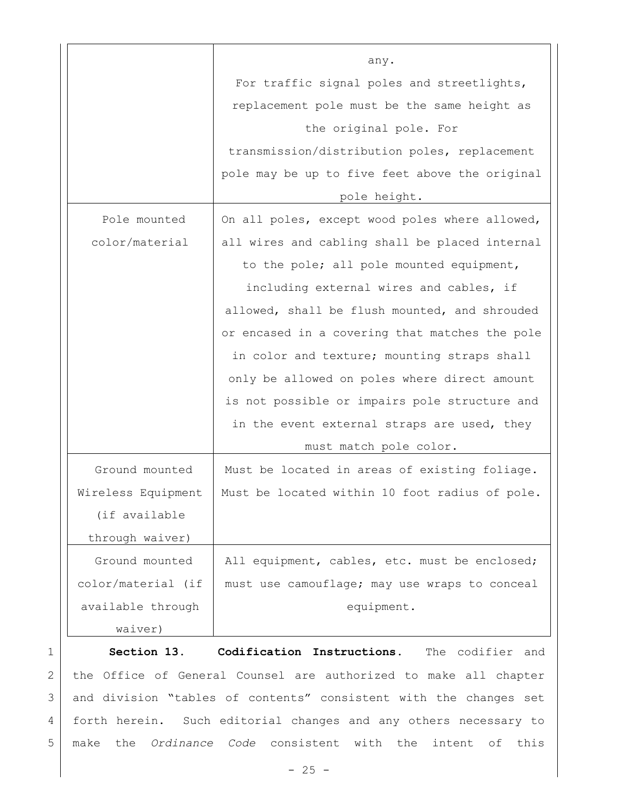|                    | any.                                           |
|--------------------|------------------------------------------------|
|                    | For traffic signal poles and streetlights,     |
|                    | replacement pole must be the same height as    |
|                    | the original pole. For                         |
|                    | transmission/distribution poles, replacement   |
|                    | pole may be up to five feet above the original |
|                    | pole height.                                   |
| Pole mounted       | On all poles, except wood poles where allowed, |
| color/material     | all wires and cabling shall be placed internal |
|                    | to the pole; all pole mounted equipment,       |
|                    | including external wires and cables, if        |
|                    | allowed, shall be flush mounted, and shrouded  |
|                    | or encased in a covering that matches the pole |
|                    | in color and texture; mounting straps shall    |
|                    | only be allowed on poles where direct amount   |
|                    | is not possible or impairs pole structure and  |
|                    | in the event external straps are used, they    |
|                    | must match pole color.                         |
| Ground mounted     | Must be located in areas of existing foliage.  |
| Wireless Equipment | Must be located within 10 foot radius of pole. |
| (if available      |                                                |
| through waiver)    |                                                |
| Ground mounted     | All equipment, cables, etc. must be enclosed;  |
| color/material (if | must use camouflage; may use wraps to conceal  |
| available through  | equipment.                                     |
| waiver)            |                                                |

1 **Section 13. Codification Instructions.** The codifier and 2 | the Office of General Counsel are authorized to make all chapter 3 and division "tables of contents" consistent with the changes set 4 forth herein. Such editorial changes and any others necessary to 5 make the *Ordinance Code* consistent with the intent of this

 $- 25 -$